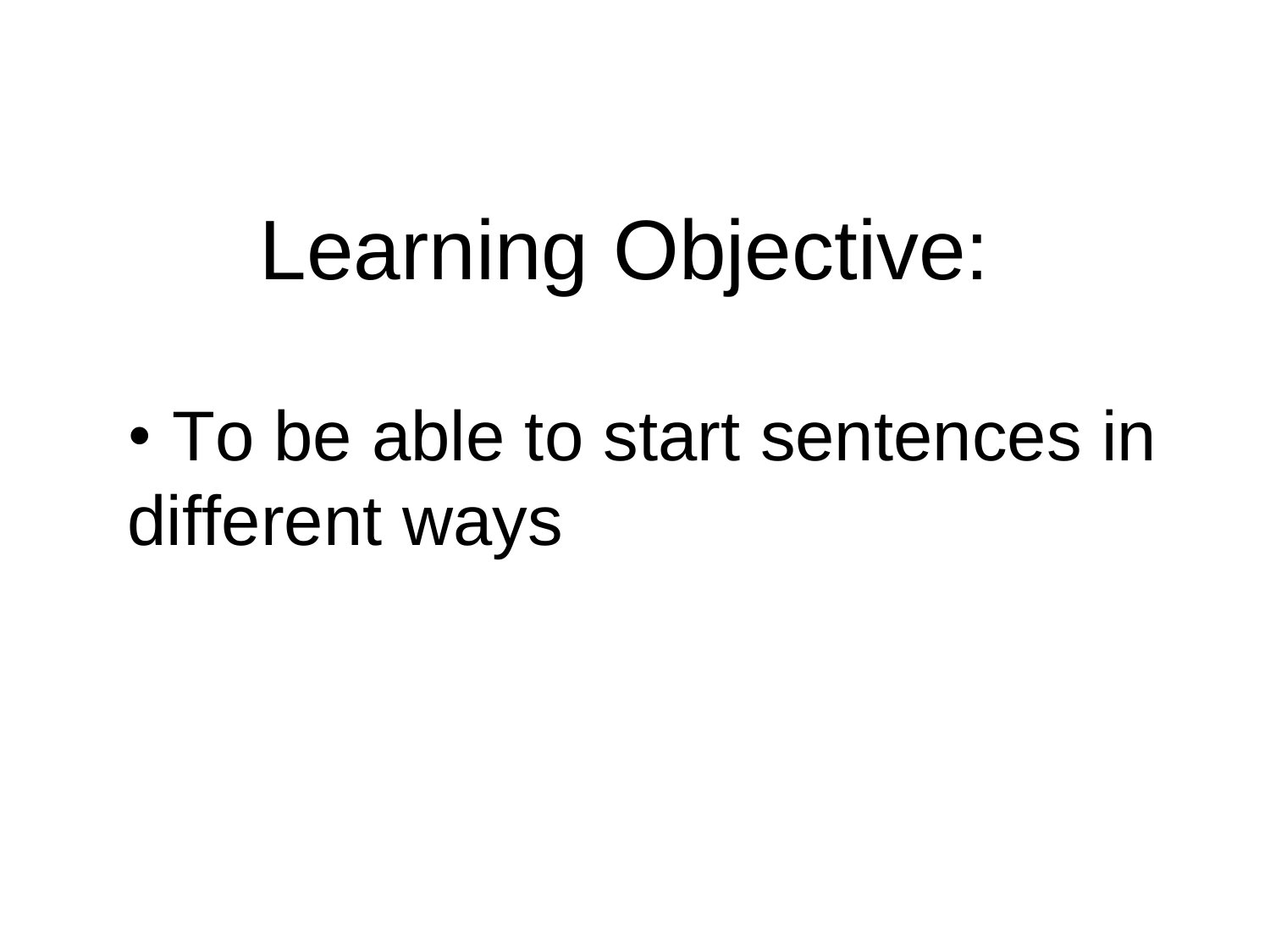# Learning Objective:

• To be able to start sentences in different ways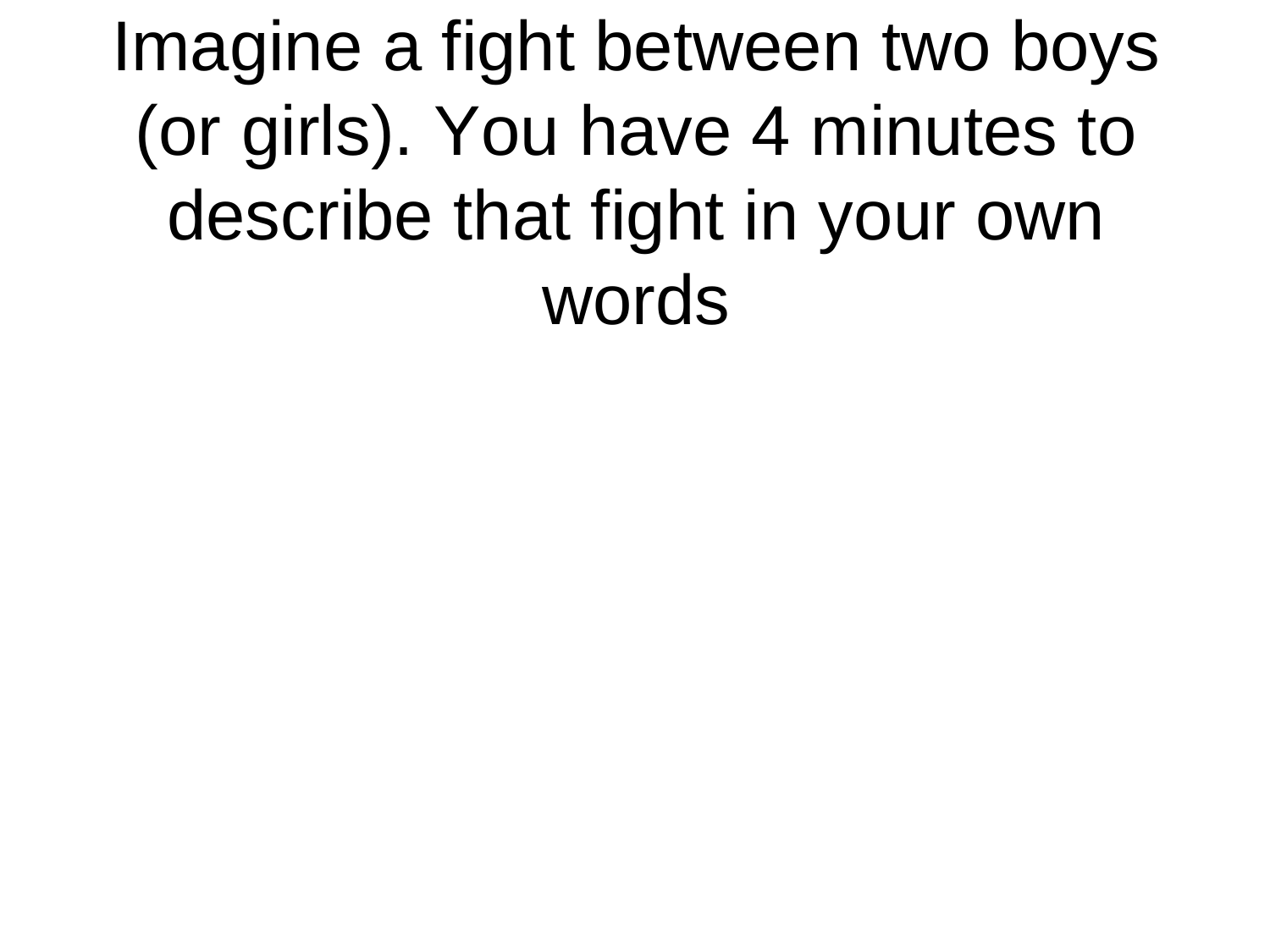Imagine a fight between two boys (or girls). You have 4 minutes to describe that fight in your own words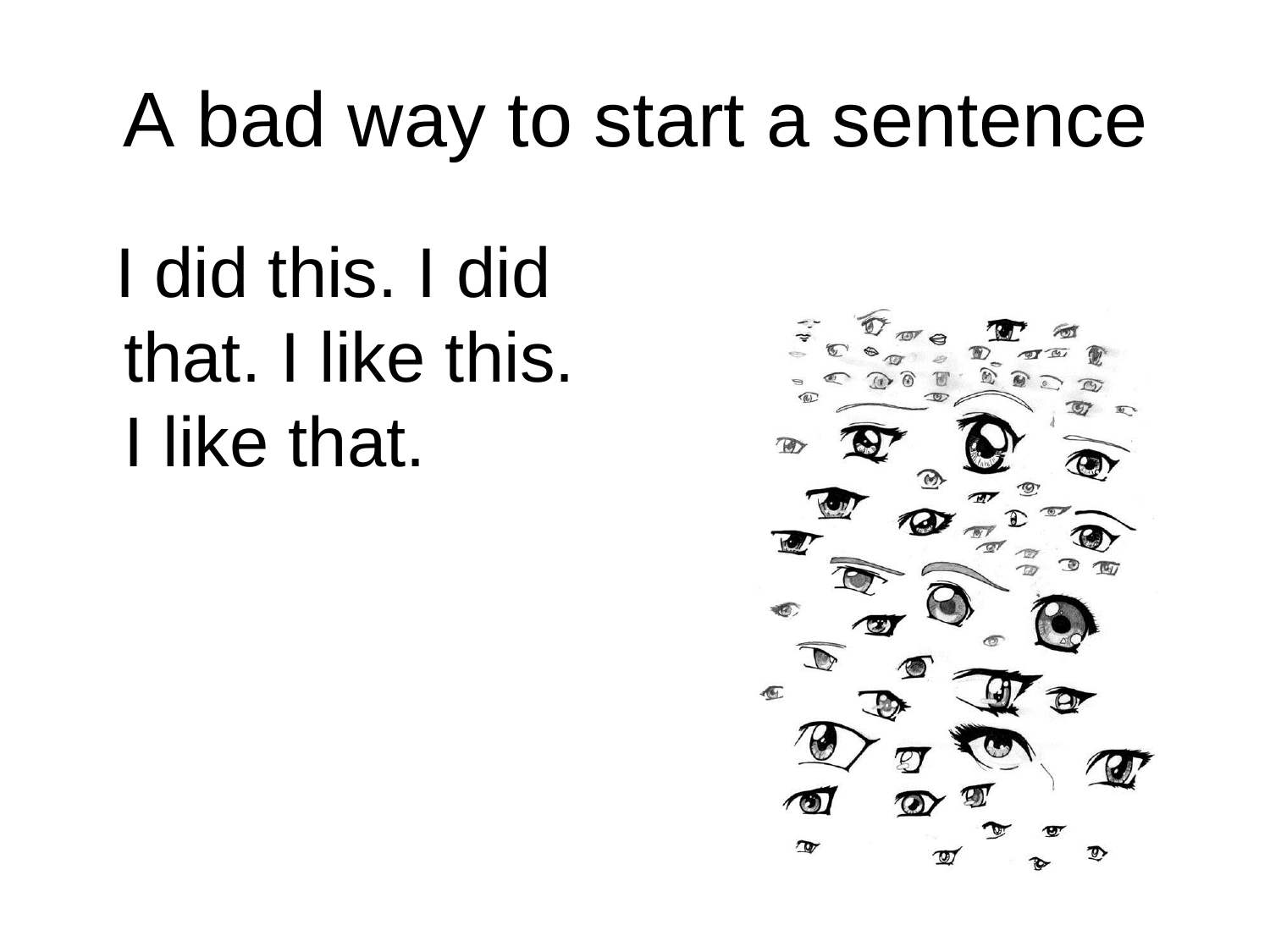## A bad way to start a sentence

 I did this. I did that. I like this. I like that.

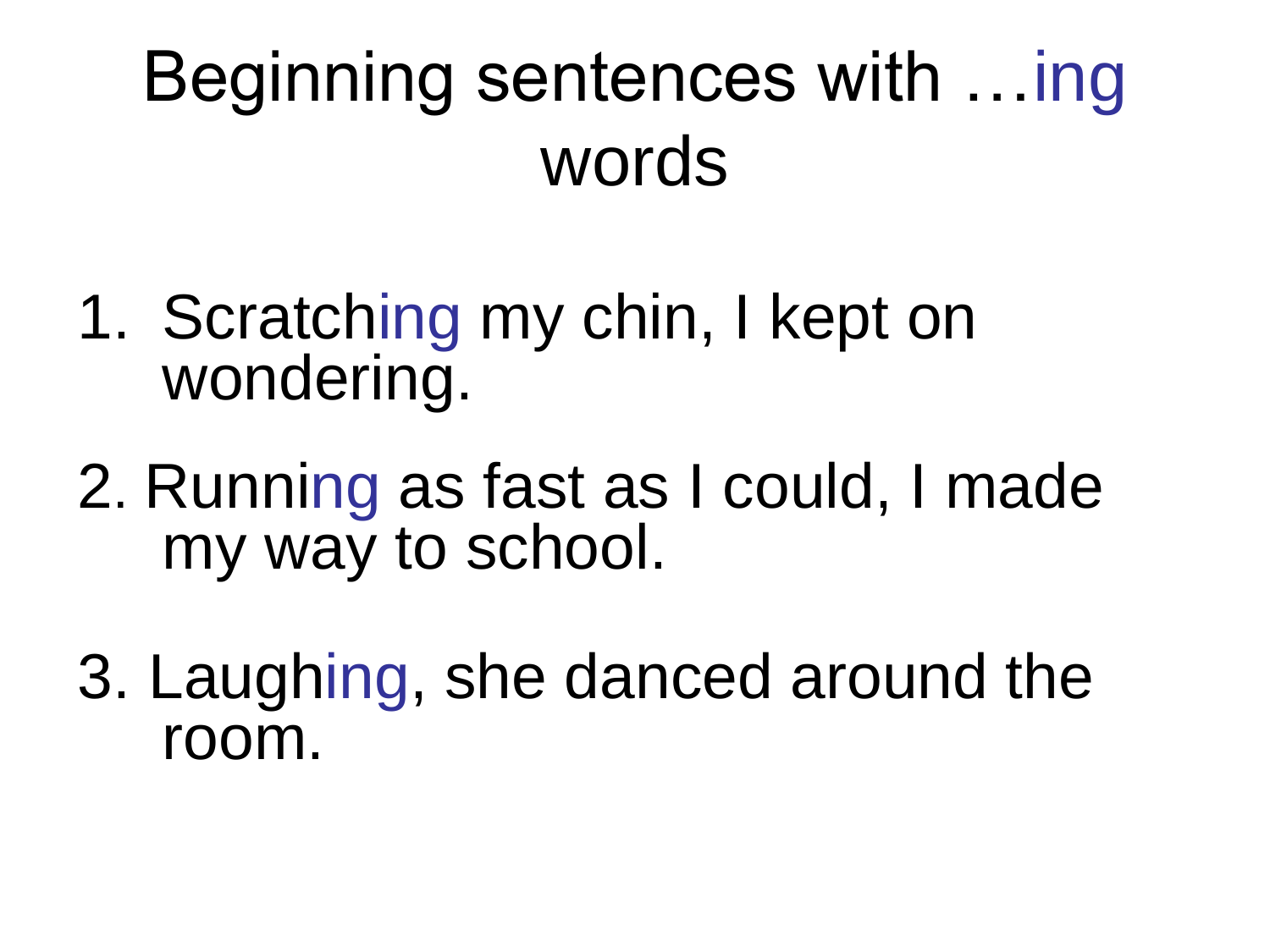## Beginning sentences with …ing words

- 1. Scratching my chin, I kept on wondering.
- 2. Running as fast as I could, I made my way to school.
- 3. Laughing, she danced around the room.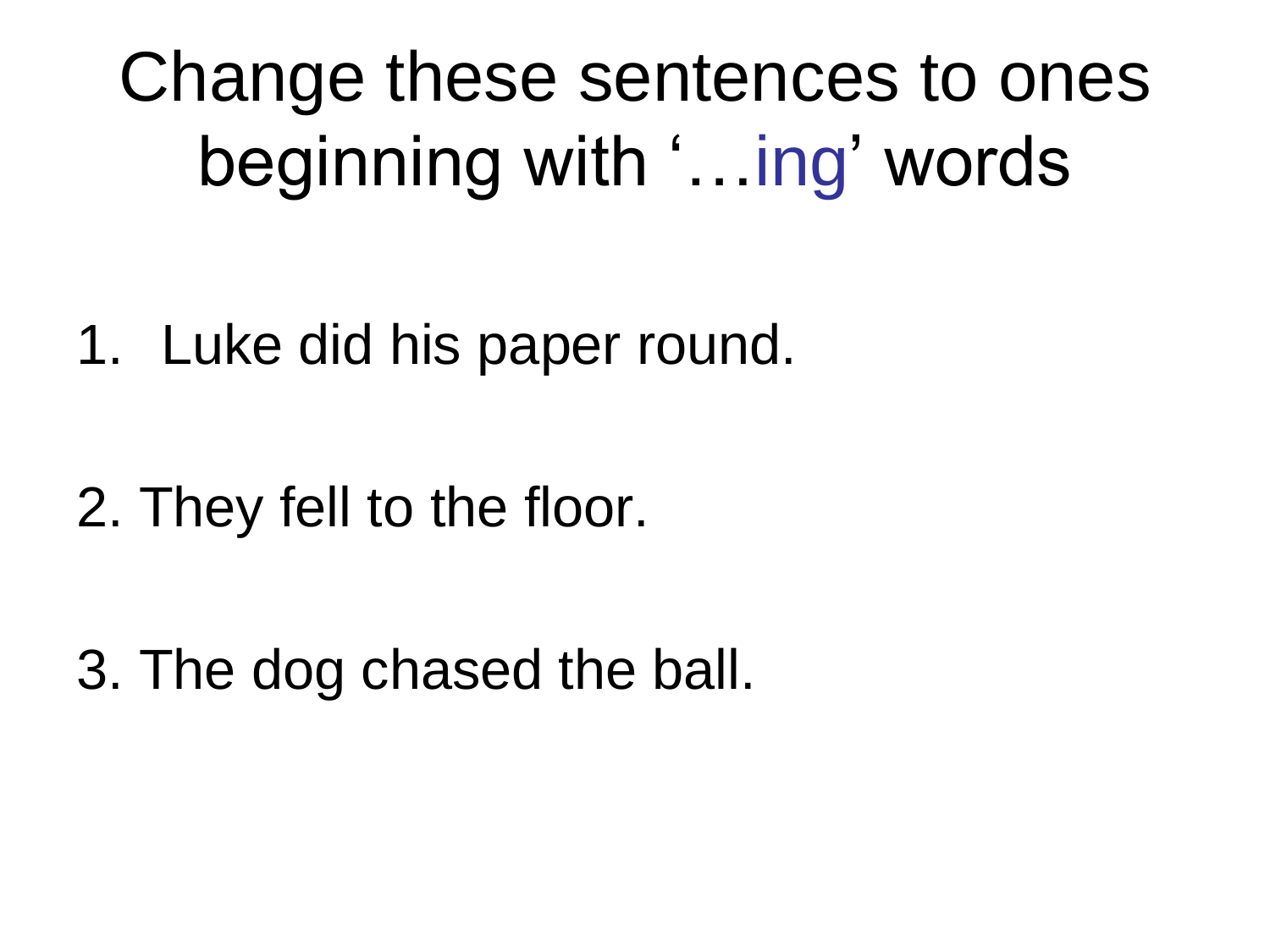Change these sentences to ones beginning with '…ing' words

- 1. Luke did his paper round.
- 2. They fell to the floor.

3. The dog chased the ball.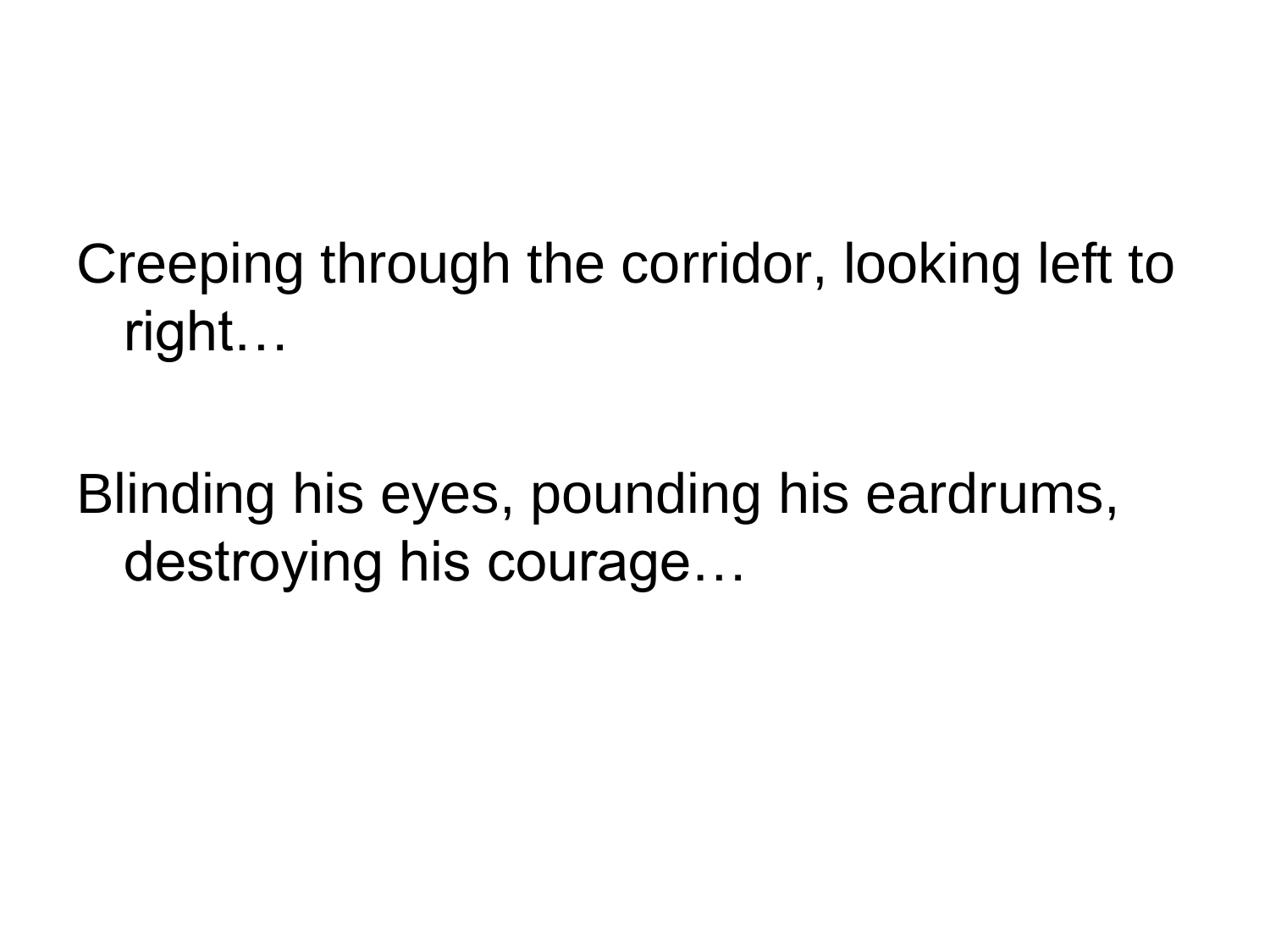#### Creeping through the corridor, looking left to right…

Blinding his eyes, pounding his eardrums, destroying his courage…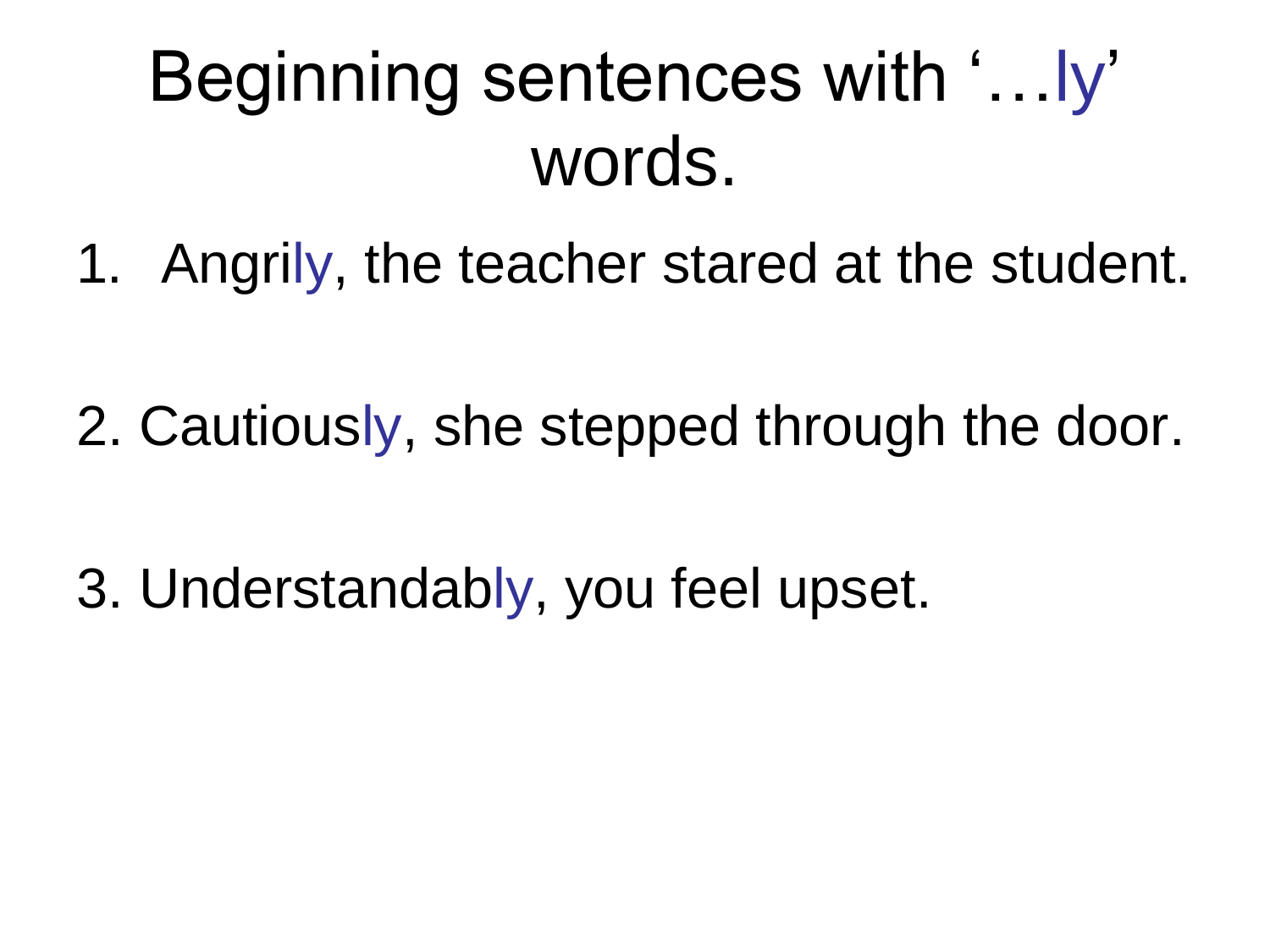### Beginning sentences with '…ly' words.

1. Angrily, the teacher stared at the student.

2. Cautiously, she stepped through the door.

3. Understandably, you feel upset.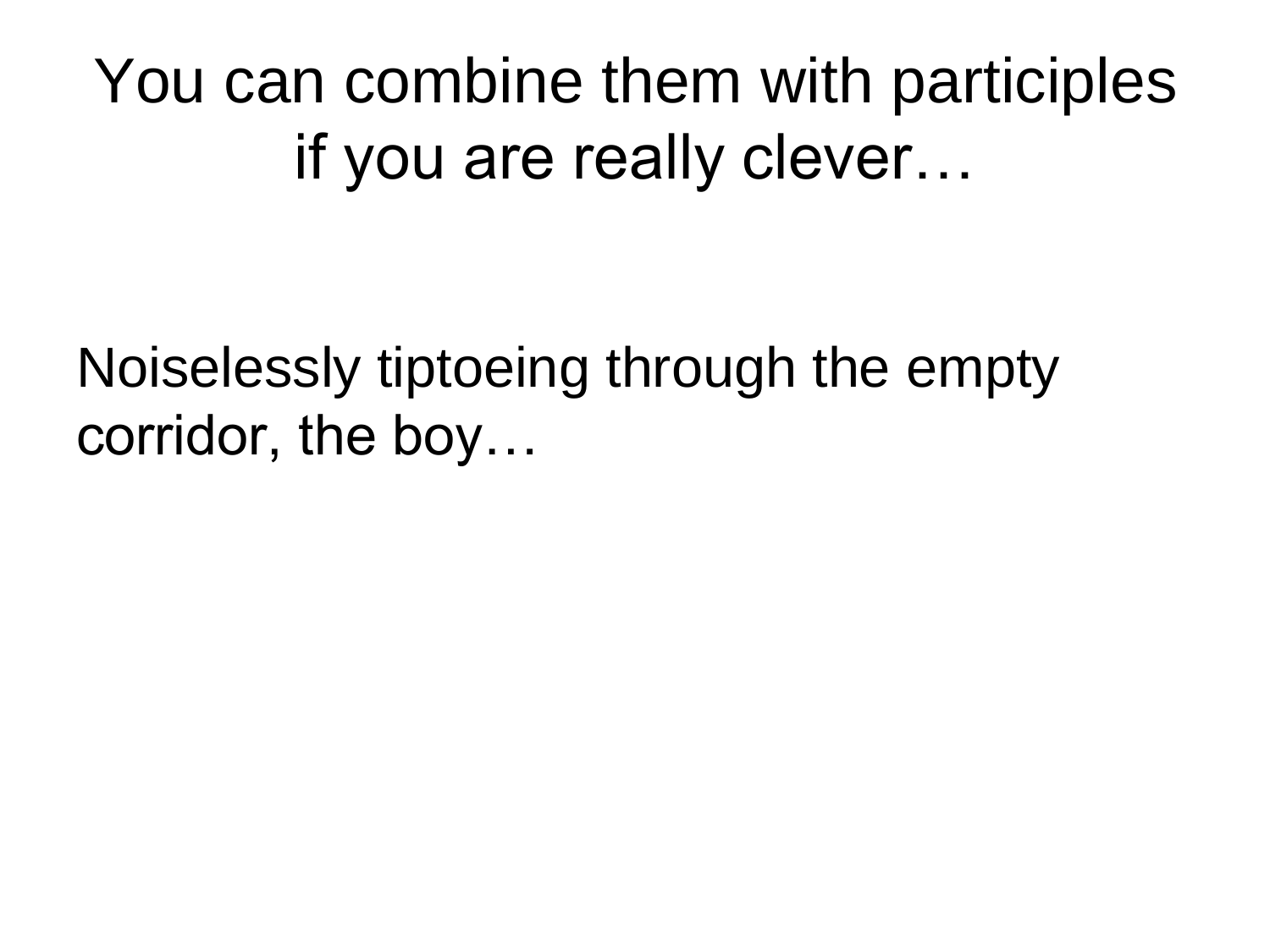You can combine them with participles if you are really clever…

Noiselessly tiptoeing through the empty corridor, the boy…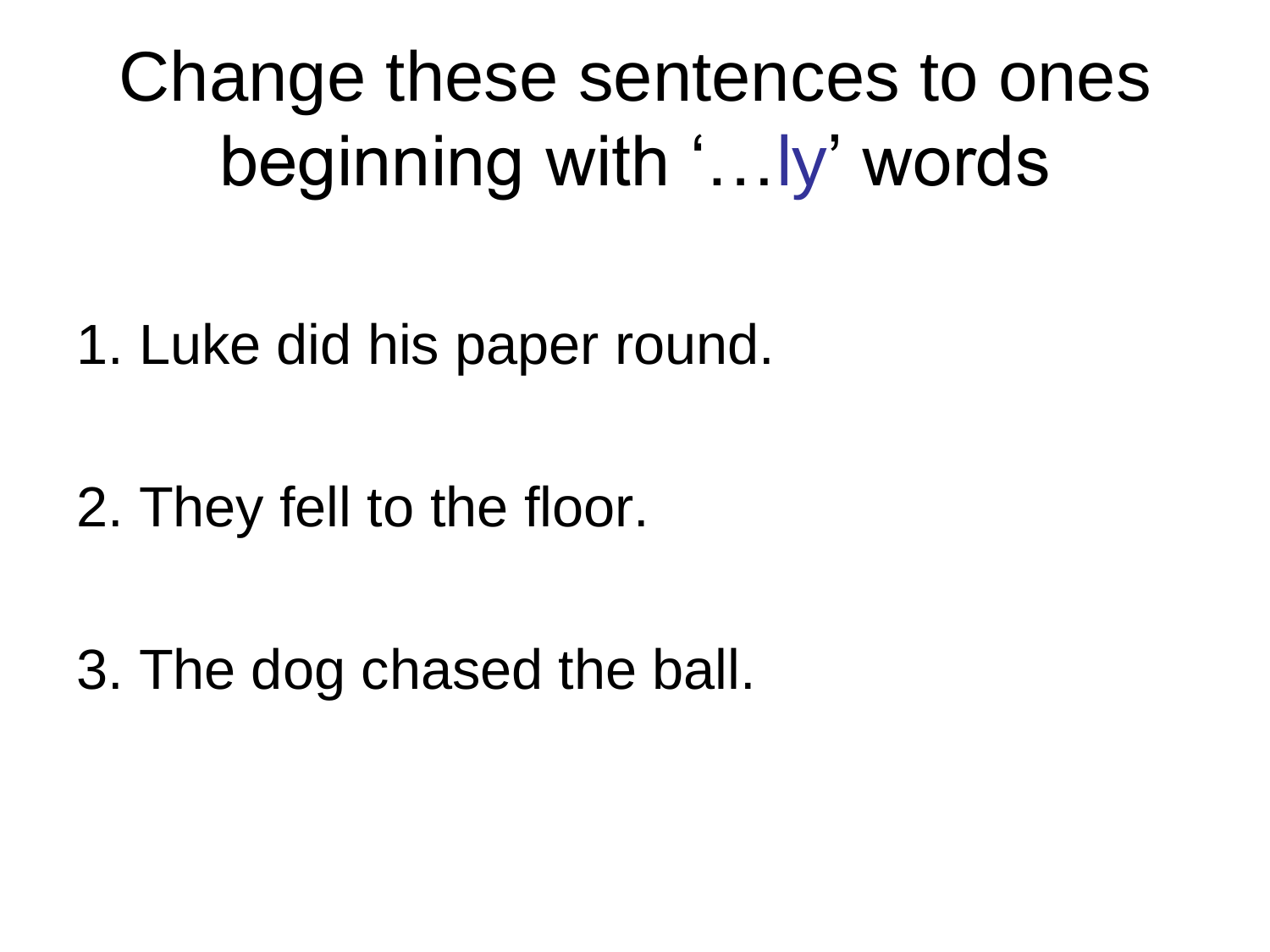Change these sentences to ones beginning with '…ly' words

1. Luke did his paper round.

2. They fell to the floor.

3. The dog chased the ball.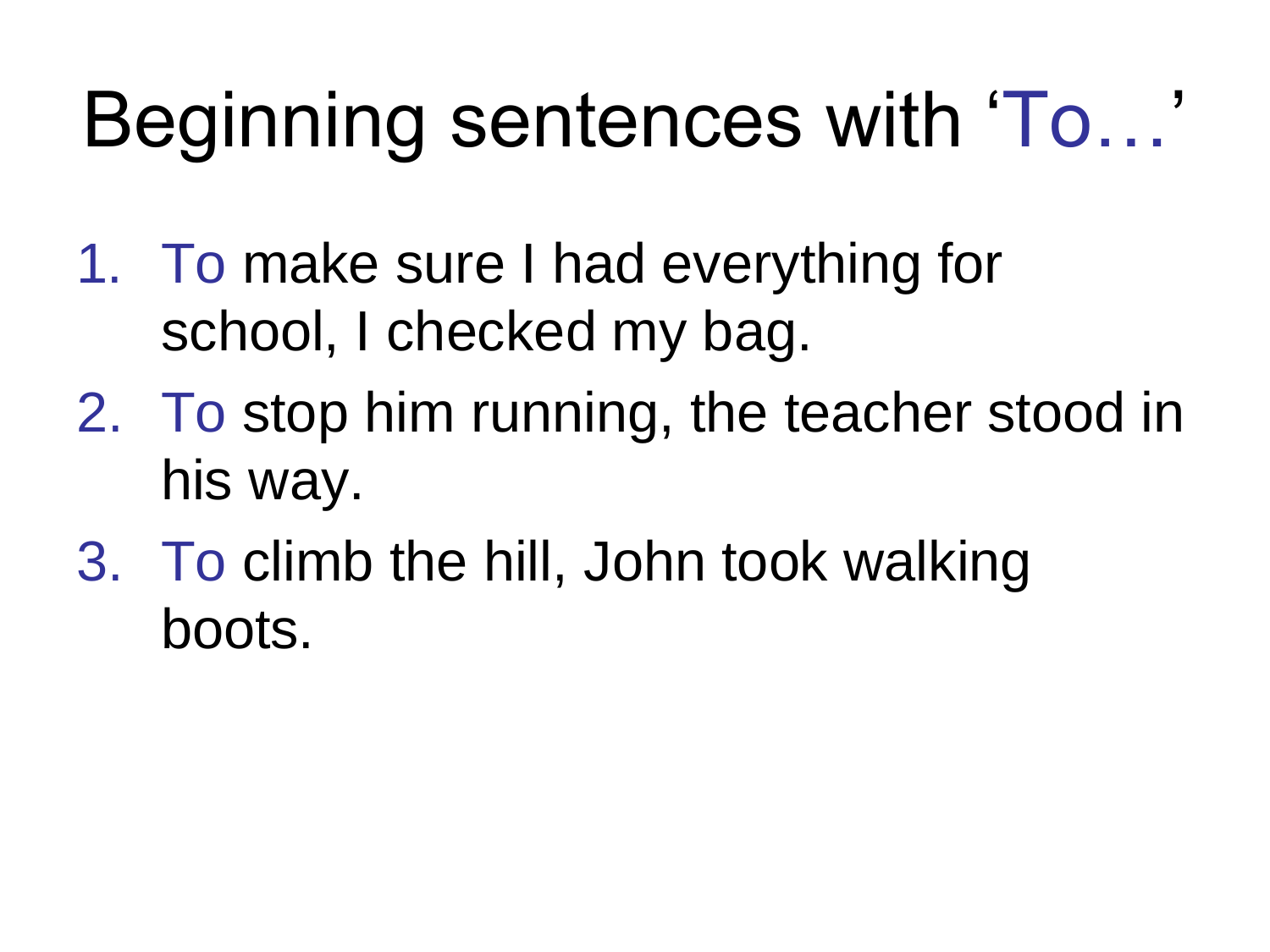# Beginning sentences with 'To...'

- 1. To make sure I had everything for school, I checked my bag.
- 2. To stop him running, the teacher stood in his way.
- 3. To climb the hill, John took walking boots.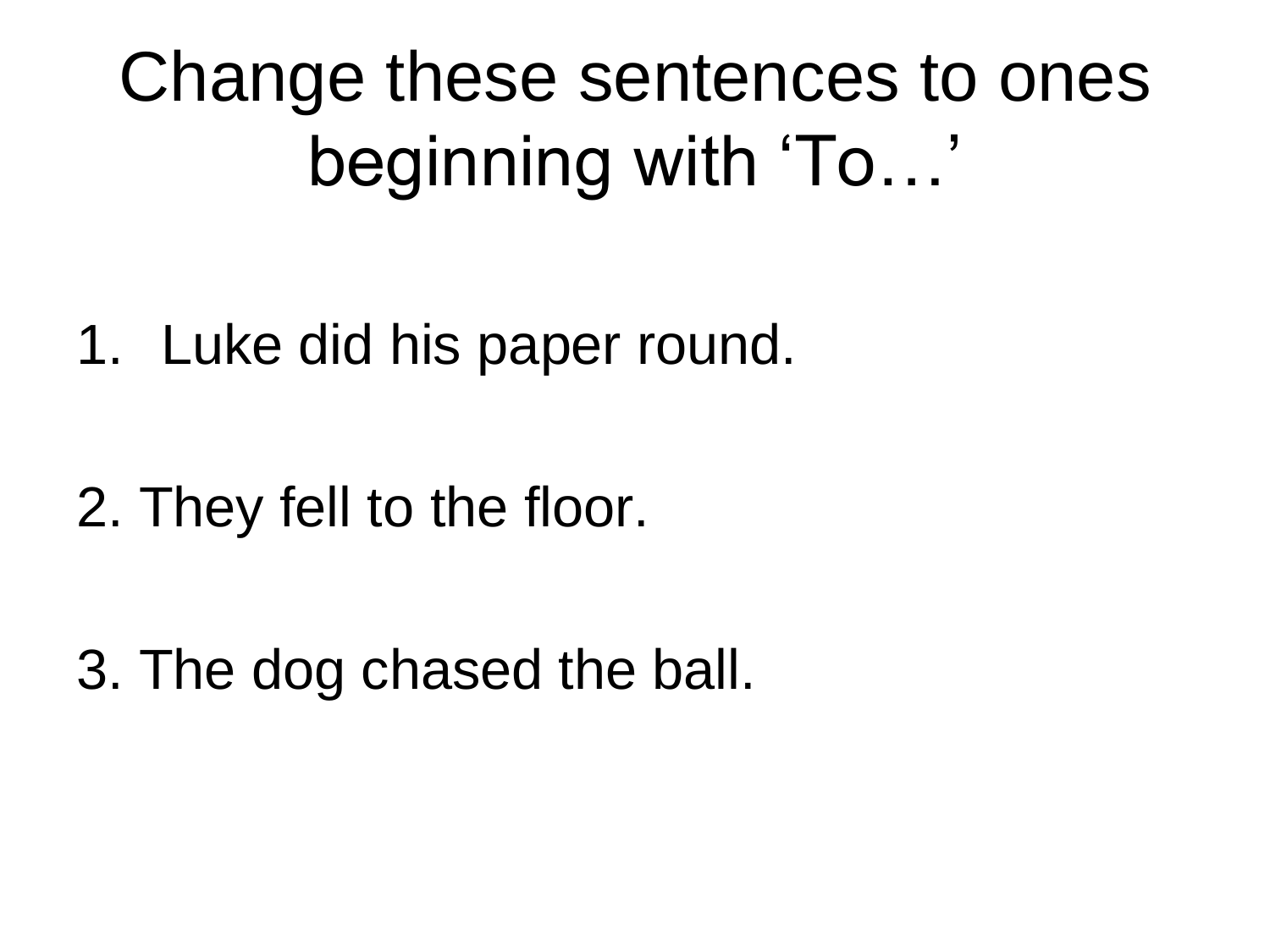Change these sentences to ones beginning with 'To…'

- 1. Luke did his paper round.
- 2. They fell to the floor.

3. The dog chased the ball.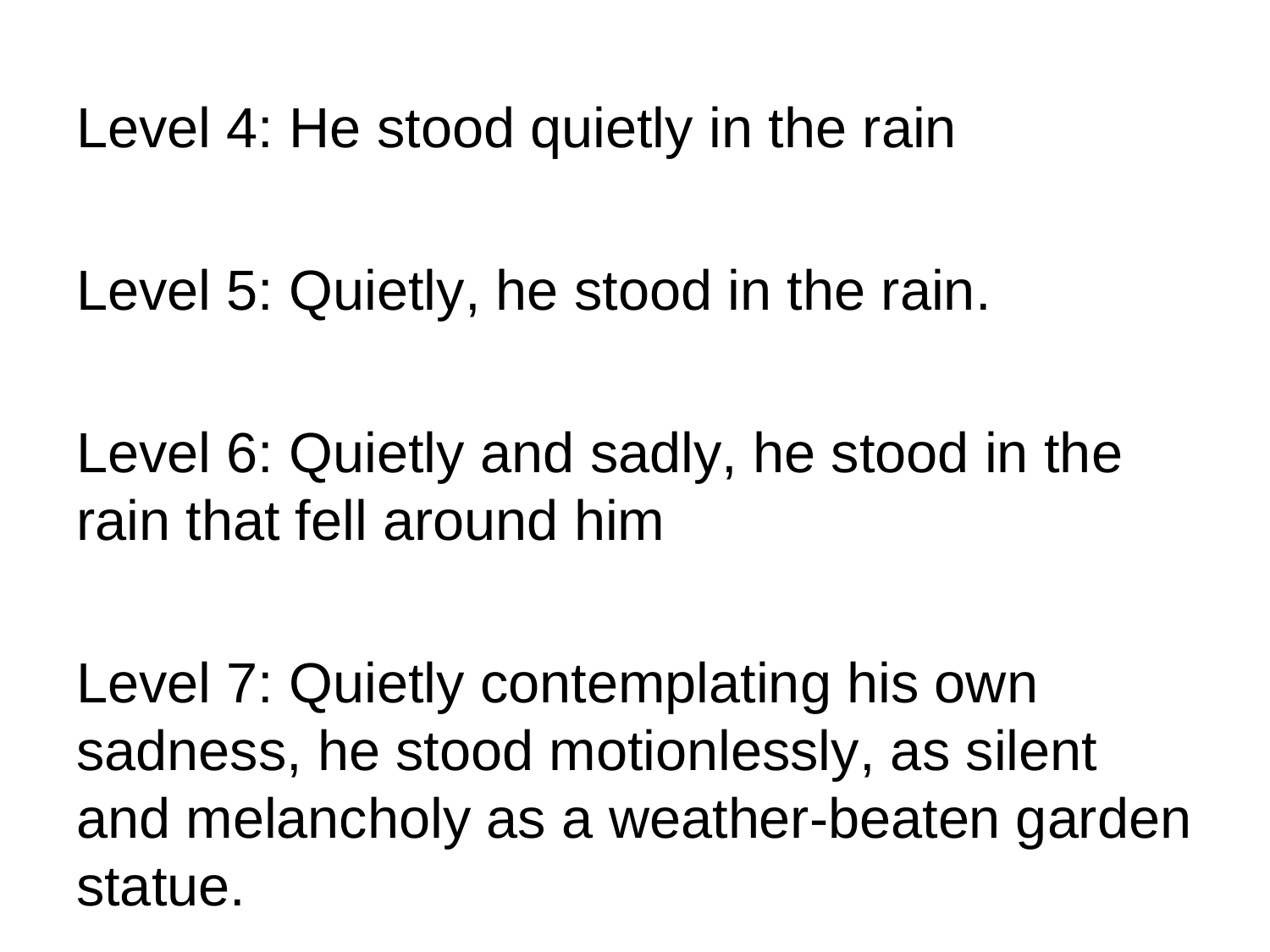Level 4: He stood quietly in the rain

Level 5: Quietly, he stood in the rain.

Level 6: Quietly and sadly, he stood in the rain that fell around him

Level 7: Quietly contemplating his own sadness, he stood motionlessly, as silent and melancholy as a weather-beaten garden statue.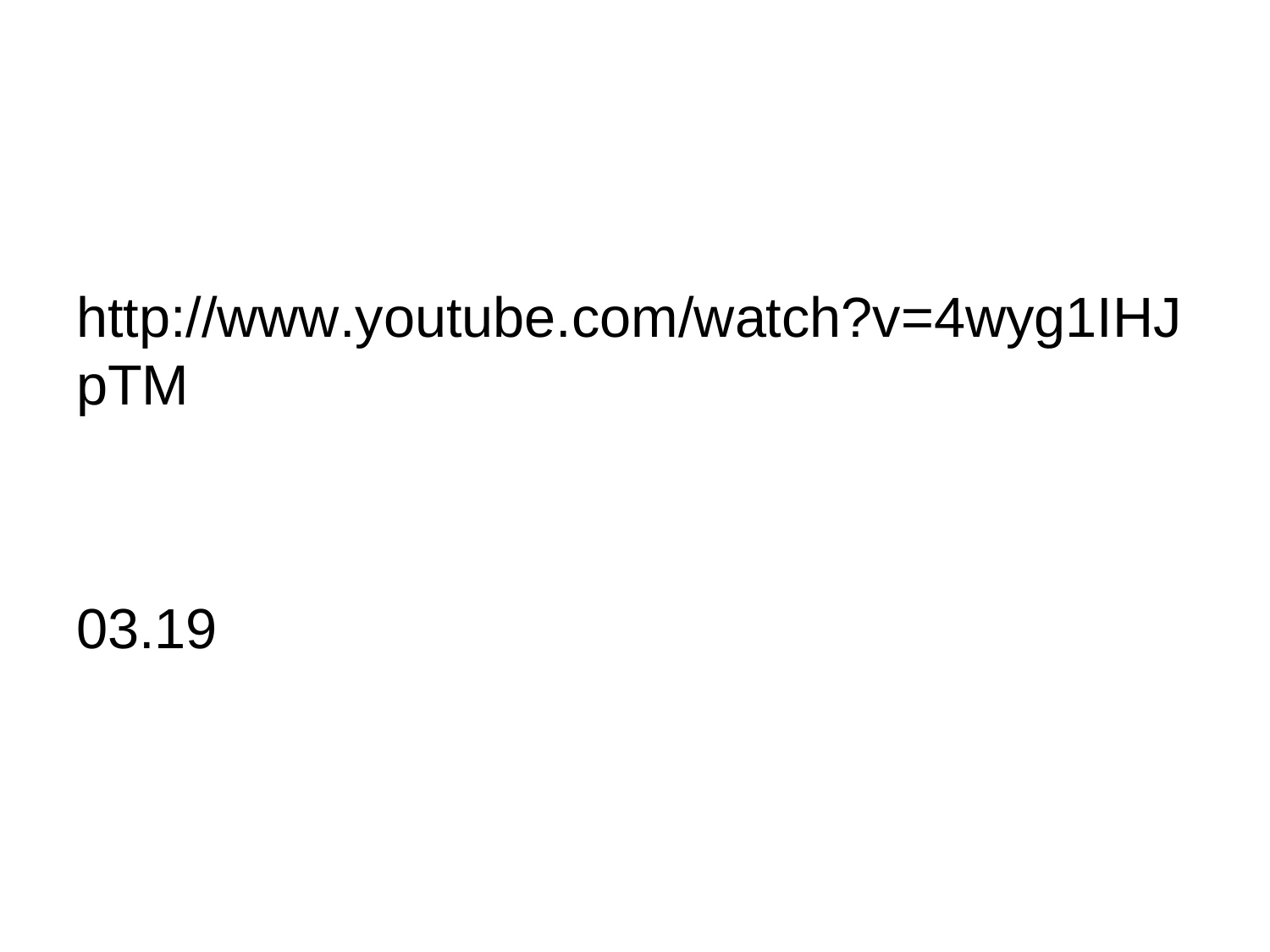#### http://www.youtube.com/watch?v=4wyg1IHJ pTM

03.19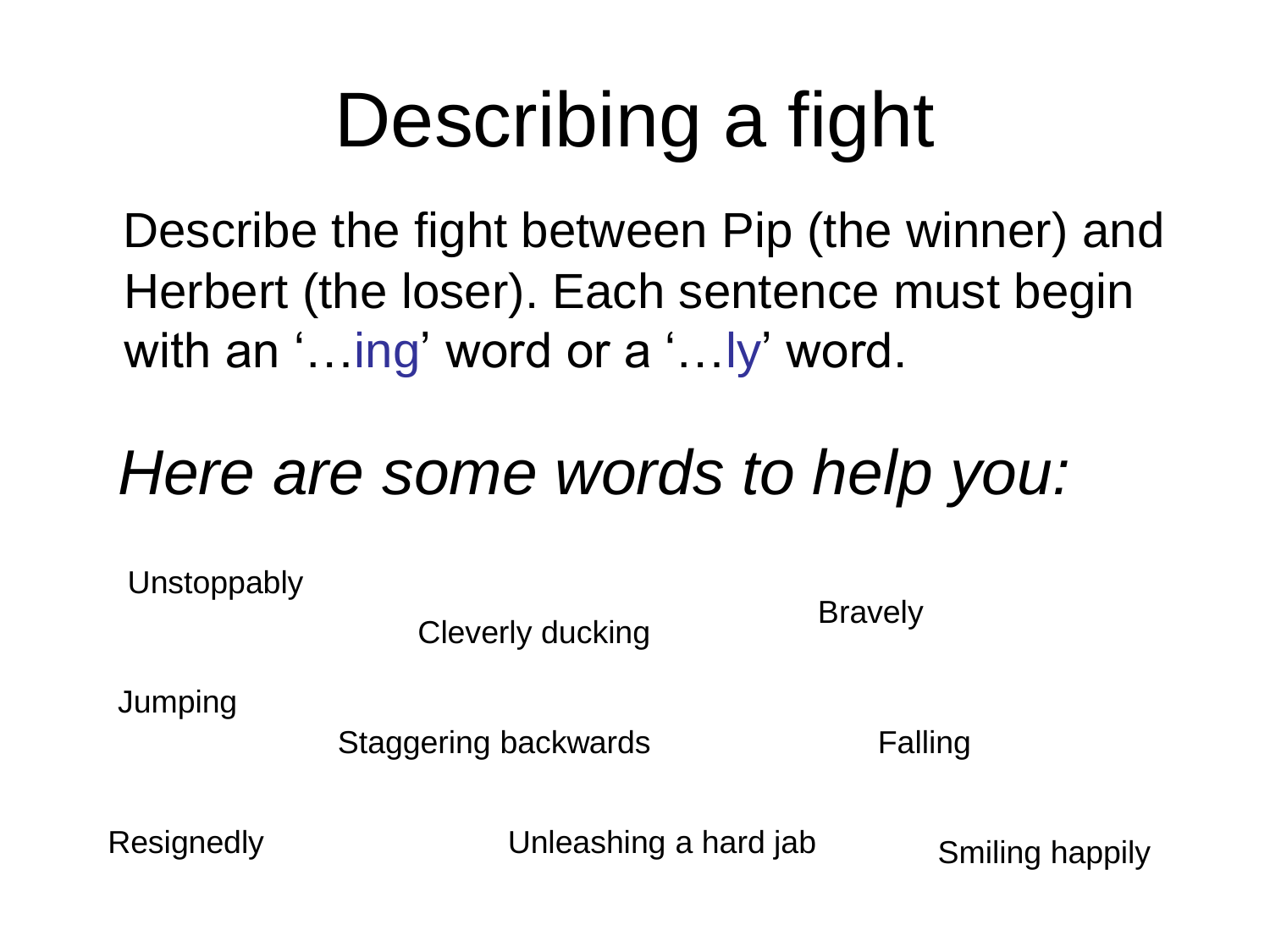# Describing a fight

 Describe the fight between Pip (the winner) and Herbert (the loser). Each sentence must begin with an '... ing' word or a '...ly' word.

#### *Here are some words to help you:*

**Unstoppably** 

Cleverly ducking

**Jumping** 

Staggering backwards

Falling

**Bravely** 

Resignedly **Subsetter Unleashing a hard jab** Smiling happily